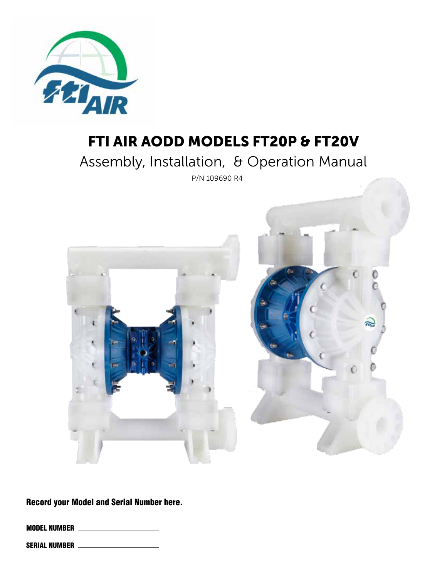

## FTI AIR AODD MODELS FT20P & FT20V

Assembly, Installation, & Operation Manual

P/N 109690 R4



Record your Model and Serial Number here.

MODEL NUMBER

SERIAL NUMBER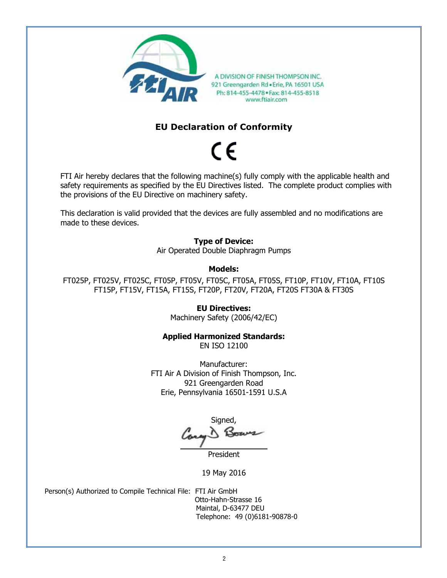

A DIVISION OF FINISH THOMPSON INC. 921 Greengarden Rd . Erie, PA 16501 USA Ph: 814-455-4478 . Fax: 814-455-8518 www.ftiair.com

#### **EU Declaration of Conformity**

# $\epsilon$

FTI Air hereby declares that the following machine(s) fully comply with the applicable health and safety requirements as specified by the EU Directives listed. The complete product complies with the provisions of the EU Directive on machinery safety.

This declaration is valid provided that the devices are fully assembled and no modifications are made to these devices.

> **Type of Device:** Air Operated Double Diaphragm Pumps

#### **Models:**

FT025P, FT025V, FT025C, FT05P, FT05V, FT05C, FT05A, FT05S, FT10P, FT10V, FT10A, FT10S FT15P, FT15V, FT15A, FT15S, FT20P, FT20V, FT20A, FT20S FT30A & FT30S

#### **EU Directives:**

Machinery Safety (2006/42/EC)

#### **Applied Harmonized Standards:**

EN ISO 12100

Manufacturer: FTI Air A Division of Finish Thompson, Inc. 921 Greengarden Road Erie, Pennsylvania 16501-1591 U.S.A

Signed,

President

19 May 2016

Person(s) Authorized to Compile Technical File: FTI Air GmbH

 Otto-Hahn-Strasse 16 Maintal, D-63477 DEU Telephone: 49 (0)6181-90878-0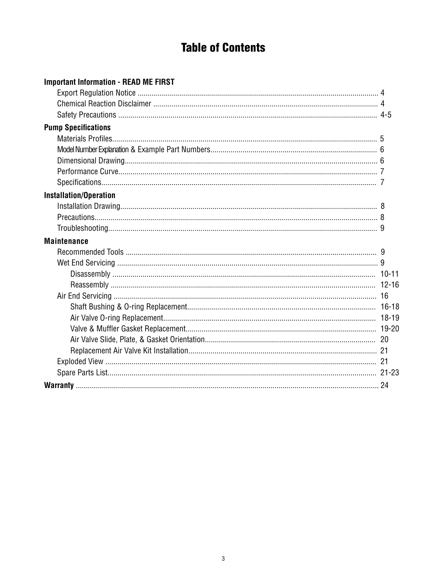## **Table of Contents**

| <b>Important Information - READ ME FIRST</b> |  |
|----------------------------------------------|--|
|                                              |  |
|                                              |  |
|                                              |  |
| <b>Pump Specifications</b>                   |  |
|                                              |  |
|                                              |  |
|                                              |  |
|                                              |  |
|                                              |  |
| <b>Installation/Operation</b>                |  |
|                                              |  |
|                                              |  |
|                                              |  |
| <b>Maintenance</b>                           |  |
|                                              |  |
|                                              |  |
|                                              |  |
|                                              |  |
|                                              |  |
|                                              |  |
|                                              |  |
|                                              |  |
|                                              |  |
|                                              |  |
|                                              |  |
|                                              |  |
|                                              |  |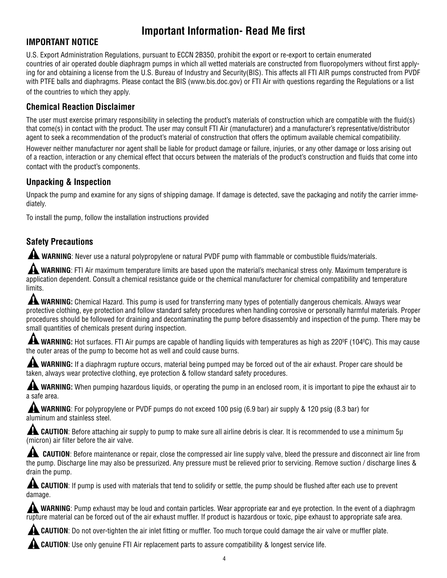## **Important Information- Read Me first**

#### **IMPORTANT NOTICE**

U.S. Export Administration Regulations, pursuant to ECCN 2B350, prohibit the export or re-export to certain enumerated countries of air operated double diaphragm pumps in which all wetted materials are constructed from fluoropolymers without first applying for and obtaining a license from the U.S. Bureau of Industry and Security(BIS). This affects all FTI AIR pumps constructed from PVDF with PTFE balls and diaphragms. Please contact the BIS (www.bis.doc.gov) or FTI Air with questions regarding the Regulations or a list of the countries to which they apply.

#### **Chemical Reaction Disclaimer**

The user must exercise primary responsibility in selecting the product's materials of construction which are compatible with the fluid(s) that come(s) in contact with the product. The user may consult FTI Air (manufacturer) and a manufacturer's representative/distributor agent to seek a recommendation of the product's material of construction that offers the optimum available chemical compatibility.

However neither manufacturer nor agent shall be liable for product damage or failure, injuries, or any other damage or loss arising out of a reaction, interaction or any chemical effect that occurs between the materials of the product's construction and fluids that come into contact with the product's components.

#### **Unpacking & Inspection**

Unpack the pump and examine for any signs of shipping damage. If damage is detected, save the packaging and notify the carrier immediately.

To install the pump, follow the installation instructions provided

## **Safety Precautions**

**A WARNING**: Never use a natural polypropylene or natural PVDF pump with flammable or combustible fluids/materials.

**A WARNING**: FTI Air maximum temperature limits are based upon the material's mechanical stress only. Maximum temperature is application dependent. Consult a chemical resistance guide or the chemical manufacturer for chemical compatibility and temperature limits.

WARNING: Chemical Hazard. This pump is used for transferring many types of potentially dangerous chemicals. Always wear protective clothing, eye protection and follow standard safety procedures when handling corrosive or personally harmful materials. Proper procedures should be followed for draining and decontaminating the pump before disassembly and inspection of the pump. There may be small quantities of chemicals present during inspection.

**A WARNING:** Hot surfaces. FTI Air pumps are capable of handling liquids with temperatures as high as 220°F (104°C). This may cause the outer areas of the pump to become hot as well and could cause burns.

**AL WARNING:** If a diaphragm rupture occurs, material being pumped may be forced out of the air exhaust. Proper care should be taken, always wear protective clothing, eye protection & follow standard safety procedures.

**A WARNING:** When pumping hazardous liquids, or operating the pump in an enclosed room, it is important to pipe the exhaust air to a safe area.

**A WARNING**: For polypropylene or PVDF pumps do not exceed 100 psig (6.9 bar) air supply & 120 psig (8.3 bar) for aluminum and stainless steel.

**AL CAUTION**: Before attaching air supply to pump to make sure all airline debris is clear. It is recommended to use a minimum 5µ (micron) air filter before the air valve.

**AL CAUTION:** Before maintenance or repair, close the compressed air line supply valve, bleed the pressure and disconnect air line from the pump. Discharge line may also be pressurized. Any pressure must be relieved prior to servicing. Remove suction / discharge lines & drain the pump.

**AL CAUTION**: If pump is used with materials that tend to solidify or settle, the pump should be flushed after each use to prevent damage.

WARNING: Pump exhaust may be loud and contain particles. Wear appropriate ear and eye protection. In the event of a diaphragm rupture material can be forced out of the air exhaust muffler. If product is hazardous or toxic, pipe exhaust to appropriate safe area.

 **CAUTION**: Do not over-tighten the air inlet fitting or muffler. Too much torque could damage the air valve or muffler plate.

 **CAUTION**: Use only genuine FTI Air replacement parts to assure compatibility & longest service life.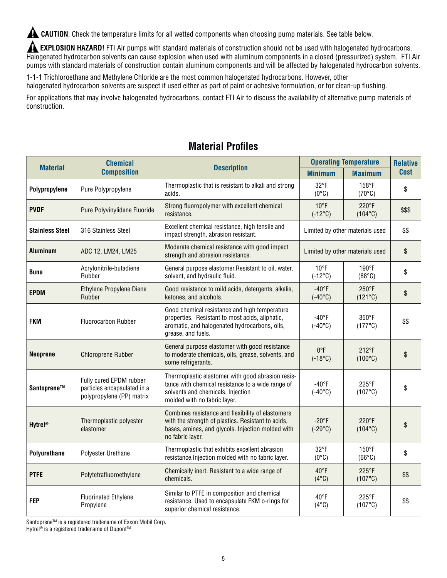**A CAUTION:** Check the temperature limits for all wetted components when choosing pump materials. See table below.

**A EXPLOSION HAZARD!** FTI Air pumps with standard materials of construction should not be used with halogenated hydrocarbons. Halogenated hydrocarbon solvents can cause explosion when used with aluminum components in a closed (pressurized) system. FTI Air pumps with standard materials of construction contain aluminum components and will be affected by halogenated hydrocarbon solvents.

1-1-1 Trichloroethane and Methylene Chloride are the most common halogenated hydrocarbons. However, other

halogenated hydrocarbon solvents are suspect if used either as part of paint or adhesive formulation, or for clean-up flushing.

For applications that may involve halogenated hydrocarbons, contact FTI Air to discuss the availability of alternative pump materials of construction.

|                           | <b>Chemical</b><br><b>Description</b><br><b>Material</b><br><b>Composition</b>                                                                                          |                                                                                                                                                                                  | <b>Operating Temperature</b>                                           | <b>Relative</b>                    |             |
|---------------------------|-------------------------------------------------------------------------------------------------------------------------------------------------------------------------|----------------------------------------------------------------------------------------------------------------------------------------------------------------------------------|------------------------------------------------------------------------|------------------------------------|-------------|
|                           |                                                                                                                                                                         |                                                                                                                                                                                  | <b>Minimum</b>                                                         | <b>Maximum</b>                     | <b>Cost</b> |
| Polypropylene             | Pure Polypropylene                                                                                                                                                      | Thermoplastic that is resistant to alkali and strong<br>acids.                                                                                                                   | 32°F<br>$(0^{\circ}C)$                                                 | 158°F<br>$(70^{\circ}C)$           | \$          |
| <b>PVDF</b>               | Pure Polyvinylidene Fluoride                                                                                                                                            | Strong fluoropolymer with excellent chemical<br>resistance.                                                                                                                      | $10^{\circ}$ F<br>$(-12^{\circ}C)$                                     | $220^{\circ}F$<br>$(104^{\circ}C)$ | \$\$\$      |
| <b>Stainless Steel</b>    | 316 Stainless Steel                                                                                                                                                     | Excellent chemical resistance, high tensile and<br>impact strength, abrasion resistant.                                                                                          | Limited by other materials used                                        |                                    | \$\$        |
| Aluminum                  | ADC 12, LM24, LM25                                                                                                                                                      | Moderate chemical resistance with good impact<br>strength and abrasion resistance.                                                                                               |                                                                        | Limited by other materials used    | \$          |
| Buna                      | Acrylonitrile-butadiene<br>Rubber                                                                                                                                       | General purpose elastomer. Resistant to oil, water,<br>solvent, and hydraulic fluid.                                                                                             | $10^{\circ}$ F<br>$(-12^{\circ}C)$                                     | 190°F<br>(88°C)                    | \$          |
| <b>EPDM</b>               | Ethylene Propylene Diene<br>$-40$ °F<br>250°F<br>Good resistance to mild acids, detergents, alkalis,<br>Rubber<br>ketones, and alcohols.<br>$(-40^{\circ}C)$<br>(121°C) |                                                                                                                                                                                  |                                                                        | \$                                 |             |
| <b>FKM</b>                | <b>Fluorocarbon Rubber</b>                                                                                                                                              | Good chemical resistance and high temperature<br>properties. Resistant to most acids, aliphatic,<br>aromatic, and halogenated hydrocarbons, oils,<br>grease, and fuels.          | $-40$ °F<br>350°F<br>$(177^{\circ}C)$<br>$(-40^{\circ}C)$              |                                    | \$\$        |
| <b>Neoprene</b>           | <b>Chloroprene Rubber</b>                                                                                                                                               | General purpose elastomer with good resistance<br>to moderate chemicals, oils, grease, solvents, and<br>some refrigerants.                                                       | $0^{\circ}F$<br>$212^{\circ}F$<br>$(-18^{\circ}C)$<br>$(100^{\circ}C)$ |                                    | \$          |
| Santoprene™               | Fully cured EPDM rubber<br>particles encapsulated in a<br>polypropylene (PP) matrix                                                                                     | Thermoplastic elastomer with good abrasion resis-<br>tance with chemical resistance to a wide range of<br>solvents and chemicals. Injection<br>molded with no fabric layer.      | $-40^{\circ}F$<br>225°F<br>$(107^{\circ}C)$<br>$(-40^{\circ}C)$        |                                    | \$          |
| <b>Hytrel<sup>®</sup></b> | Thermoplastic polyester<br>elastomer                                                                                                                                    | Combines resistance and flexibility of elastomers<br>with the strength of plastics. Resistant to acids,<br>bases, amines, and glycols. Injection molded with<br>no fabric layer. | $-20$ °F<br>$(-29^{\circ}C)$                                           | $220^{\circ}F$<br>$(104^{\circ}C)$ | \$          |
| Polyurethane              | Polyester Urethane                                                                                                                                                      | Thermoplastic that exhibits excellent abrasion<br>resistance. Injection molded with no fabric layer.                                                                             | $32^{\circ}F$<br>$(0^{\circ}C)$                                        | $150^{\circ}$ F<br>$(66^{\circ}C)$ | \$          |
| <b>PTFE</b>               | Polytetrafluoroethylene                                                                                                                                                 | Chemically inert. Resistant to a wide range of<br>chemicals.                                                                                                                     | $40^{\circ}$ F<br>$(4^{\circ}C)$                                       | $225^{\circ}F$<br>$(107^{\circ}C)$ | \$\$        |
| FEP                       | <b>Fluorinated Ethylene</b><br>Propylene                                                                                                                                | Similar to PTFE in composition and chemical<br>resistance. Used to encapsulate FKM o-rings for<br>superior chemical resistance.                                                  | $40^{\circ}$ F<br>$(4^{\circ}C)$                                       | 225°F<br>$(107^{\circ}C)$          | \$\$        |

## **Material Profiles**

Santoprene<sup>™</sup> is a registered tradename of Exxon Mobil Corp.

Hytrel<sup>®</sup> is a registered tradename of Dupont<sup>™</sup>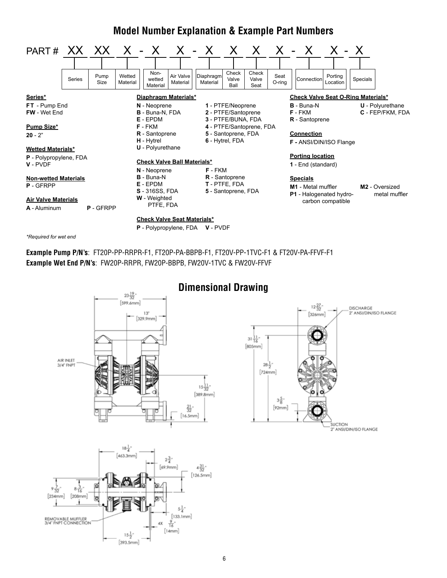## **Model Number Explanation & Example Part Numbers**



*\*Required for wet end*

**Example Pump P/N's**: FT20P-PP-RRPR-F1, FT20P-PA-BBPB-F1, FT20V-PP-1TVC-F1 & FT20V-PA-FFVF-F1 **Example Wet End P/N's**: FW20P-RRPR, FW20P-BBPB, FW20V-1TVC & FW20V-FFVF



## **Dimensional Drawing**

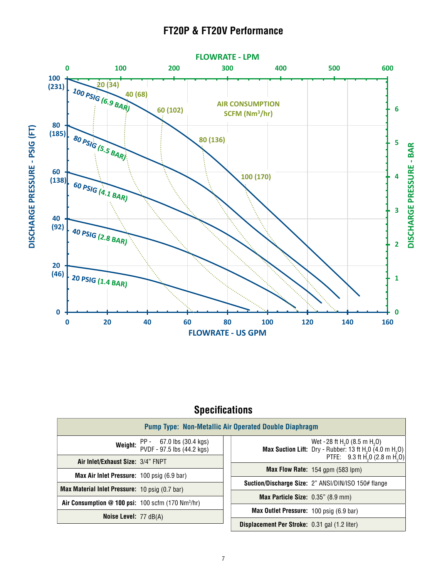## **FT20P & FT20V Performance**



## **Specifications**

| <b>Pump Type: Non-Metallic Air Operated Double Diaphragm</b>                    |                                                                                                                                                                                                  |  |  |
|---------------------------------------------------------------------------------|--------------------------------------------------------------------------------------------------------------------------------------------------------------------------------------------------|--|--|
| Weight: PP - 67.0 lbs (30.4 kgs)<br>PVDF - 97.5 lbs (44.2 kgs)                  | Wet - 28 ft H <sub>2</sub> 0 (8.5 m H <sub>2</sub> O)<br>Max Suction Lift: Dry - Rubber: 13 ft H <sub>2</sub> O $(4.0 \text{ m H}_2O)$<br>PTFE: 9.3 ft H <sub>2</sub> 0 (2.8 m H <sub>2</sub> O) |  |  |
| Air Inlet/Exhaust Size: 3/4" FNPT<br>Max Air Inlet Pressure: 100 psig (6.9 bar) | <b>Max Flow Rate:</b> 154 gpm $(583 \text{ lpm})$                                                                                                                                                |  |  |
| Max Material Inlet Pressure: 10 psig (0.7 bar)                                  | <b>Suction/Discharge Size: 2" ANSI/DIN/ISO 150# flange</b>                                                                                                                                       |  |  |
| Air Consumption @ 100 psi: $100$ scfm (170 Nm <sup>3</sup> /hr)                 | <b>Max Particle Size:</b> 0.35" (8.9 mm)                                                                                                                                                         |  |  |
| <b>Noise Level: 77 dB(A)</b>                                                    | Max Outlet Pressure: 100 psig (6.9 bar)                                                                                                                                                          |  |  |
|                                                                                 | <b>Displacement Per Stroke:</b> 0.31 gal (1.2 liter)                                                                                                                                             |  |  |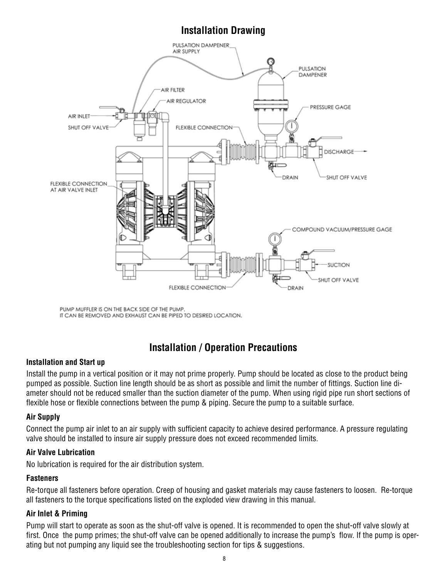## **Installation Drawing**



PUMP MUFFLER IS ON THE BACK SIDE OF THE PUMP. IT CAN BE REMOVED AND EXHAUST CAN BE PIPED TO DESIRED LOCATION.

## **Installation / Operation Precautions**

#### **Installation and Start up**

Install the pump in a vertical position or it may not prime properly. Pump should be located as close to the product being pumped as possible. Suction line length should be as short as possible and limit the number of fittings. Suction line diameter should not be reduced smaller than the suction diameter of the pump. When using rigid pipe run short sections of flexible hose or flexible connections between the pump & piping. Secure the pump to a suitable surface.

#### **Air Supply**

Connect the pump air inlet to an air supply with sufficient capacity to achieve desired performance. A pressure regulating valve should be installed to insure air supply pressure does not exceed recommended limits.

#### **Air Valve Lubrication**

No lubrication is required for the air distribution system.

#### **Fasteners**

Re-torque all fasteners before operation. Creep of housing and gasket materials may cause fasteners to loosen. Re-torque all fasteners to the torque specifications listed on the exploded view drawing in this manual.

#### **Air Inlet & Priming**

Pump will start to operate as soon as the shut-off valve is opened. It is recommended to open the shut-off valve slowly at first. Once the pump primes; the shut-off valve can be opened additionally to increase the pump's flow. If the pump is operating but not pumping any liquid see the troubleshooting section for tips & suggestions.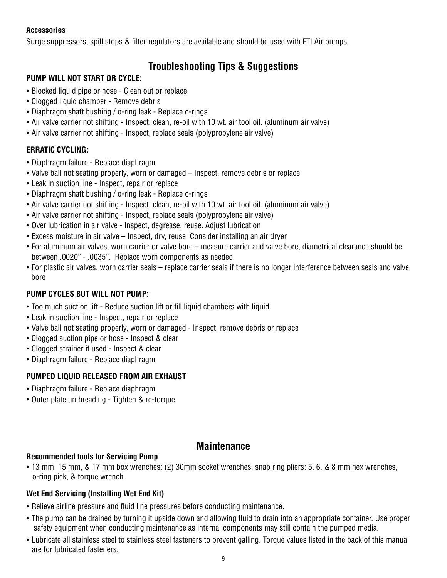#### **Accessories**

Surge suppressors, spill stops & filter regulators are available and should be used with FTI Air pumps.

## **Troubleshooting Tips & Suggestions**

#### **PUMP WILL NOT START OR CYCLE:**

- Blocked liquid pipe or hose Clean out or replace
- Clogged liquid chamber Remove debris
- Diaphragm shaft bushing / o-ring leak Replace o-rings
- Air valve carrier not shifting Inspect, clean, re-oil with 10 wt. air tool oil. (aluminum air valve)
- Air valve carrier not shifting Inspect, replace seals (polypropylene air valve)

#### **ERRATIC CYCLING:**

- Diaphragm failure Replace diaphragm
- Valve ball not seating properly, worn or damaged Inspect, remove debris or replace
- Leak in suction line Inspect, repair or replace
- Diaphragm shaft bushing / o-ring leak Replace o-rings
- Air valve carrier not shifting Inspect, clean, re-oil with 10 wt. air tool oil. (aluminum air valve)
- Air valve carrier not shifting Inspect, replace seals (polypropylene air valve)
- Over lubrication in air valve Inspect, degrease, reuse. Adjust lubrication
- Excess moisture in air valve Inspect, dry, reuse. Consider installing an air dryer
- For aluminum air valves, worn carrier or valve bore measure carrier and valve bore, diametrical clearance should be between .0020" - .0035". Replace worn components as needed
- For plastic air valves, worn carrier seals replace carrier seals if there is no longer interference between seals and valve bore

#### **PUMP CYCLES BUT WILL NOT PUMP:**

- Too much suction lift Reduce suction lift or fill liquid chambers with liquid
- Leak in suction line Inspect, repair or replace
- Valve ball not seating properly, worn or damaged Inspect, remove debris or replace
- Clogged suction pipe or hose Inspect & clear
- Clogged strainer if used Inspect & clear
- Diaphragm failure Replace diaphragm

#### **PUMPED LIQUID RELEASED FROM AIR EXHAUST**

- Diaphragm failure Replace diaphragm
- Outer plate unthreading Tighten & re-torque

#### **Maintenance**

#### **Recommended tools for Servicing Pump**

• 13 mm, 15 mm, & 17 mm box wrenches; (2) 30mm socket wrenches, snap ring pliers; 5, 6, & 8 mm hex wrenches, o-ring pick, & torque wrench.

#### **Wet End Servicing (Installing Wet End Kit)**

- Relieve airline pressure and fluid line pressures before conducting maintenance.
- The pump can be drained by turning it upside down and allowing fluid to drain into an appropriate container. Use proper safety equipment when conducting maintenance as internal components may still contain the pumped media.
- Lubricate all stainless steel to stainless steel fasteners to prevent galling. Torque values listed in the back of this manual are for lubricated fasteners.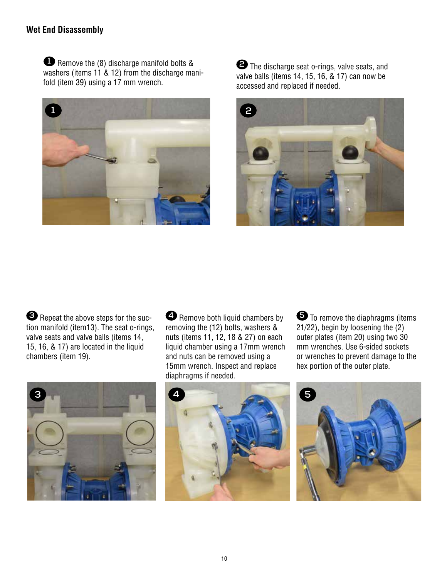#### **Wet End Disassembly**

 Remove the (8) discharge manifold bolts & **1**washers (items 11 & 12) from the discharge manifold (item 39) using a 17 mm wrench.



**2** The discharge seat o-rings, valve seats, and valve balls (items 14, 15, 16, & 17) can now be accessed and replaced if needed.



**3** Repeat the above steps for the suction manifold (item13). The seat o-rings, valve seats and valve balls (items 14, 15, 16, & 17) are located in the liquid chambers (item 19).



**4** Remove both liquid chambers by removing the (12) bolts, washers & nuts (items 11, 12, 18 & 27) on each liquid chamber using a 17mm wrench and nuts can be removed using a 15mm wrench. Inspect and replace diaphragms if needed.

**5** To remove the diaphragms (items 21/22), begin by loosening the (2) outer plates (item 20) using two 30 mm wrenches. Use 6-sided sockets or wrenches to prevent damage to the hex portion of the outer plate.



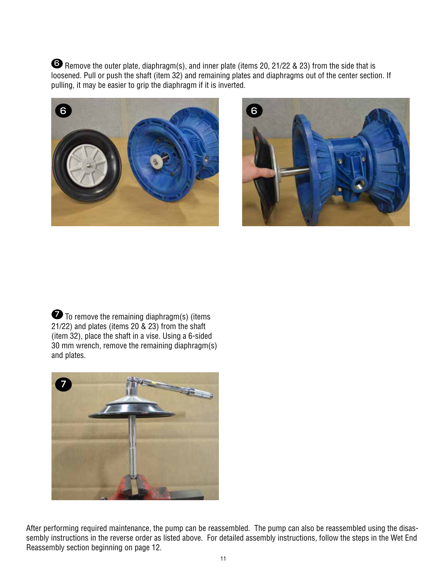**6** Remove the outer plate, diaphragm(s), and inner plate (items 20, 21/22 & 23) from the side that is loosened. Pull or push the shaft (item 32) and remaining plates and diaphragms out of the center section. If pulling, it may be easier to grip the diaphragm if it is inverted.





**7** To remove the remaining diaphragm(s) (items 21/22) and plates (items 20 & 23) from the shaft (item 32), place the shaft in a vise. Using a 6-sided 30 mm wrench, remove the remaining diaphragm(s) and plates.



After performing required maintenance, the pump can be reassembled. The pump can also be reassembled using the disassembly instructions in the reverse order as listed above. For detailed assembly instructions, follow the steps in the Wet End Reassembly section beginning on page 12.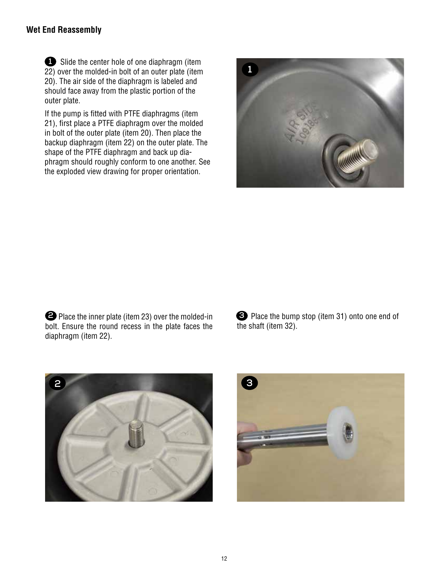#### **Wet End Reassembly**

 Slide the center hole of one diaphragm (item **1** 22) over the molded-in bolt of an outer plate (item 20). The air side of the diaphragm is labeled and should face away from the plastic portion of the outer plate.

If the pump is fitted with PTFE diaphragms (item 21), first place a PTFE diaphragm over the molded in bolt of the outer plate (item 20). Then place the backup diaphragm (item 22) on the outer plate. The shape of the PTFE diaphragm and back up diaphragm should roughly conform to one another. See the exploded view drawing for proper orientation.



 Place the inner plate (item 23) over the molded-in **2 3**bolt. Ensure the round recess in the plate faces the diaphragm (item 22).

Place the bump stop (item 31) onto one end of the shaft (item 32).



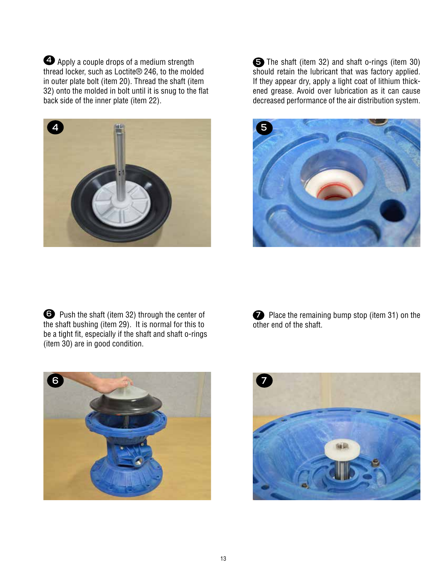$\bigoplus$  Apply a couple drops of a medium strength  $\bigoplus$ thread locker, such as Loctite® 246, to the molded in outer plate bolt (item 20). Thread the shaft (item 32) onto the molded in bolt until it is snug to the flat back side of the inner plate (item 22).



The shaft (item 32) and shaft o-rings (item 30) should retain the lubricant that was factory applied. If they appear dry, apply a light coat of lithium thickened grease. Avoid over lubrication as it can cause decreased performance of the air distribution system.



**O** Push the shaft (item 32) through the center of the shaft bushing (item 29). It is normal for this to be a tight fit, especially if the shaft and shaft o-rings (item 30) are in good condition.

**6** Push the shaft (item 32) through the center of Place the remaining bump stop (item 31) on the other end of the shaft.



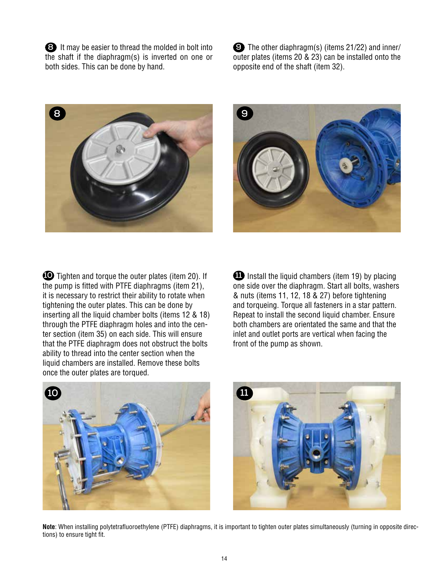It may be easier to thread the molded in bolt into **8** the shaft if the diaphragm(s) is inverted on one or both sides. This can be done by hand.

 The other diaphragm(s) (items 21/22) and inner/ **9** outer plates (items 20 & 23) can be installed onto the opposite end of the shaft (item 32).





 Tighten and torque the outer plates (item 20). If **10** the pump is fitted with PTFE diaphragms (item 21), it is necessary to restrict their ability to rotate when tightening the outer plates. This can be done by inserting all the liquid chamber bolts (items 12 & 18) through the PTFE diaphragm holes and into the center section (item 35) on each side. This will ensure that the PTFE diaphragm does not obstruct the bolts ability to thread into the center section when the liquid chambers are installed. Remove these bolts once the outer plates are torqued.

**11** Install the liquid chambers (item 19) by placing one side over the diaphragm. Start all bolts, washers & nuts (items 11, 12, 18 & 27) before tightening and torqueing. Torque all fasteners in a star pattern. Repeat to install the second liquid chamber. Ensure both chambers are orientated the same and that the inlet and outlet ports are vertical when facing the front of the pump as shown.





**Note**: When installing polytetrafluoroethylene (PTFE) diaphragms, it is important to tighten outer plates simultaneously (turning in opposite directions) to ensure tight fit.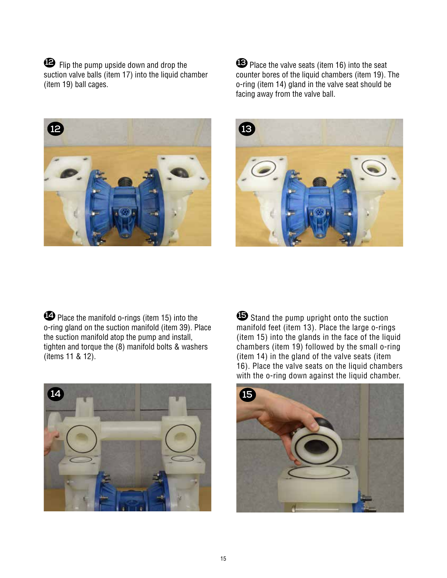**12** Flip the pump upside down and drop the suction valve balls (item 17) into the liquid chamber (item 19) ball cages.



**13** Place the valve seats (item 16) into the seat counter bores of the liquid chambers (item 19). The o-ring (item 14) gland in the valve seat should be facing away from the valve ball.



**14** Place the manifold o-rings (item 15) into the o-ring gland on the suction manifold (item 39). Place the suction manifold atop the pump and install, tighten and torque the (8) manifold bolts & washers (items 11 & 12).



**15** Stand the pump upright onto the suction manifold feet (item 13). Place the large o-rings (item 15) into the glands in the face of the liquid chambers (item 19) followed by the small o-ring (item 14) in the gland of the valve seats (item 16). Place the valve seats on the liquid chambers with the o-ring down against the liquid chamber.

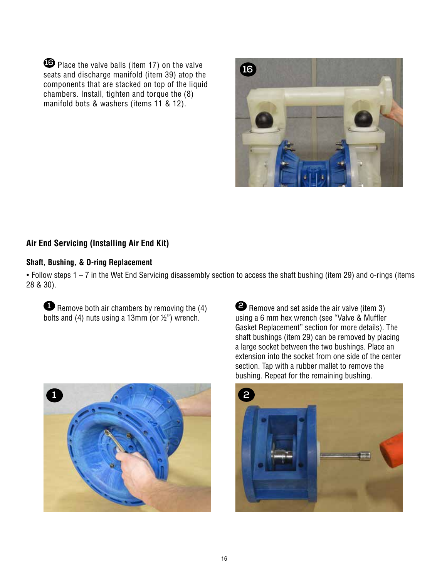**16** Place the valve balls (item 17) on the valve seats and discharge manifold (item 39) atop the components that are stacked on top of the liquid chambers. Install, tighten and torque the (8) manifold bots & washers (items 11 & 12).



#### **Air End Servicing (Installing Air End Kit)**

#### **Shaft, Bushing, & O-ring Replacement**

• Follow steps 1 – 7 in the Wet End Servicing disassembly section to access the shaft bushing (item 29) and o-rings (items 28 & 30).

**1** Remove both air chambers by removing the (4) bolts and (4) nuts using a 13mm (or ½") wrench.



**2** Remove and set aside the air valve (item 3) using a 6 mm hex wrench (see "Valve & Muffler Gasket Replacement" section for more details). The shaft bushings (item 29) can be removed by placing a large socket between the two bushings. Place an extension into the socket from one side of the center section. Tap with a rubber mallet to remove the bushing. Repeat for the remaining bushing.

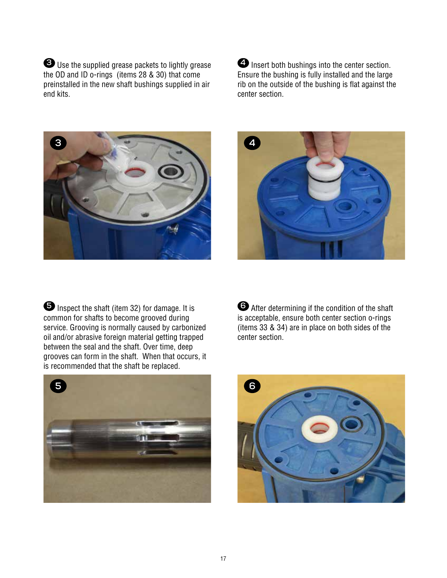**3** Use the supplied grease packets to lightly grease the OD and ID o-rings (items 28 & 30) that come preinstalled in the new shaft bushings supplied in air end kits.

**4** Insert both bushings into the center section. Ensure the bushing is fully installed and the large rib on the outside of the bushing is flat against the center section.





**5** Inspect the shaft (item 32) for damage. It is common for shafts to become grooved during service. Grooving is normally caused by carbonized oil and/or abrasive foreign material getting trapped between the seal and the shaft. Over time, deep grooves can form in the shaft. When that occurs, it is recommended that the shaft be replaced.



**6** After determining if the condition of the shaft is acceptable, ensure both center section o-rings (items 33 & 34) are in place on both sides of the center section.

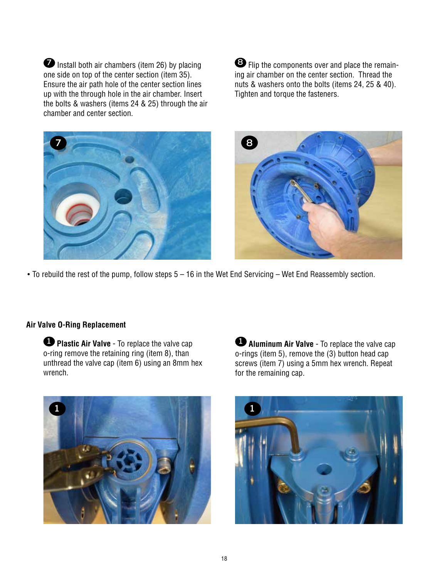**7** Install both air chambers (item 26) by placing one side on top of the center section (item 35). Ensure the air path hole of the center section lines up with the through hole in the air chamber. Insert the bolts & washers (items 24 & 25) through the air chamber and center section.

**8** Flip the components over and place the remaining air chamber on the center section. Thread the nuts & washers onto the bolts (items 24, 25 & 40). Tighten and torque the fasteners.





• To rebuild the rest of the pump, follow steps 5 – 16 in the Wet End Servicing – Wet End Reassembly section.

#### **Air Valve O-Ring Replacement**

**1 Plastic Air Valve** - To replace the valve cap o-ring remove the retaining ring (item 8), than unthread the valve cap (item 6) using an 8mm hex wrench.



**1 Aluminum Air Valve** - To replace the valve cap o-rings (item 5), remove the (3) button head cap screws (item 7) using a 5mm hex wrench. Repeat for the remaining cap.

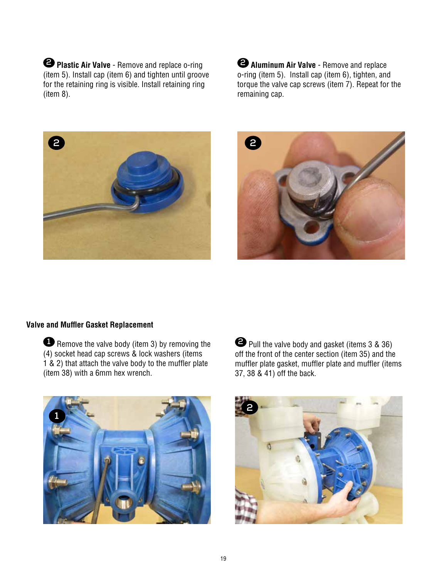**2 Plastic Air Valve** - Remove and replace o-ring (item 5). Install cap (item 6) and tighten until groove for the retaining ring is visible. Install retaining ring (item 8).

**2 Aluminum Air Valve** - Remove and replace o-ring (item 5). Install cap (item 6), tighten, and torque the valve cap screws (item 7). Repeat for the remaining cap.





#### **Valve and Muffler Gasket Replacement**

**1** Remove the valve body (item 3) by removing the (4) socket head cap screws & lock washers (items 1 & 2) that attach the valve body to the muffler plate (item 38) with a 6mm hex wrench.



**2** Pull the valve body and gasket (items 3 & 36) off the front of the center section (item 35) and the muffler plate gasket, muffler plate and muffler (items 37, 38 & 41) off the back.

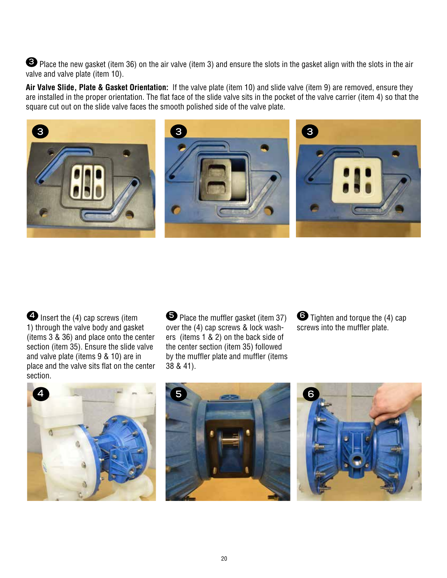**3** Place the new gasket (item 36) on the air valve (item 3) and ensure the slots in the gasket align with the slots in the air valve and valve plate (item 10).

**Air Valve Slide, Plate & Gasket Orientation:** If the valve plate (item 10) and slide valve (item 9) are removed, ensure they are installed in the proper orientation. The flat face of the slide valve sits in the pocket of the valve carrier (item 4) so that the square cut out on the slide valve faces the smooth polished side of the valve plate.



**4** Insert the (4) cap screws (item 1) through the valve body and gasket (items 3 & 36) and place onto the center section (item 35). Ensure the slide valve and valve plate (items 9 & 10) are in place and the valve sits flat on the center section.

**5** Place the muffler gasket (item 37) over the (4) cap screws & lock washers (items 1 & 2) on the back side of the center section (item 35) followed by the muffler plate and muffler (items 38 & 41).

**6** Tighten and torque the (4) cap screws into the muffler plate.





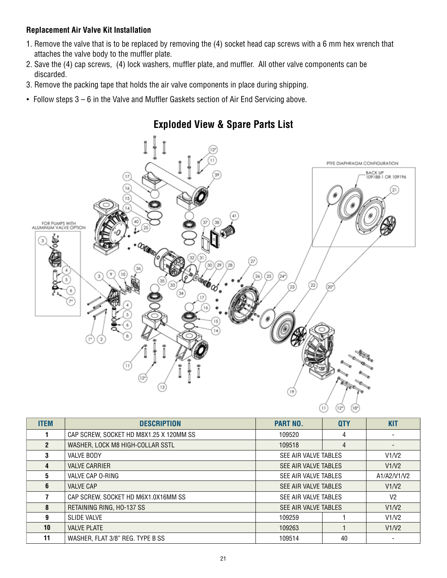#### **Replacement Air Valve Kit Installation**

- 1. Remove the valve that is to be replaced by removing the (4) socket head cap screws with a 6 mm hex wrench that attaches the valve body to the muffler plate.
- 2. Save the (4) cap screws, (4) lock washers, muffler plate, and muffler. All other valve components can be discarded.
- 3. Remove the packing tape that holds the air valve components in place during shipping.
- Follow steps 3 6 in the Valve and Muffler Gaskets section of Air End Servicing above.



| <b>ITEM</b>     | <b>DESCRIPTION</b>                      | <b>PART NO.</b>                        | <b>QTY</b> | <b>KIT</b>  |
|-----------------|-----------------------------------------|----------------------------------------|------------|-------------|
|                 | CAP SCREW, SOCKET HD M8X1.25 X 120MM SS | 109520                                 | 4          |             |
| $\mathbf{2}$    | WASHER, LOCK M8 HIGH-COLLAR SSTL        | 109518                                 | 4          |             |
| 3               | <b>VALVE BODY</b>                       | SEE AIR VALVE TABLES                   |            | V1/V2       |
| 4               | <b>VALVE CARRIER</b>                    | SEE AIR VALVE TABLES                   |            | V1/N2       |
| 5               | VALVE CAP O-RING                        | SEE AIR VALVE TABLES                   |            | A1/A2/V1/V2 |
| 6               | <b>VALVE CAP</b>                        | SEE AIR VALVE TABLES<br>V1/V2          |            |             |
|                 | CAP SCREW, SOCKET HD M6X1.0X16MM SS     | V <sub>2</sub><br>SEE AIR VALVE TABLES |            |             |
| 8               | RETAINING RING, HO-137 SS               | SEE AIR VALVE TABLES                   |            | V1/N2       |
| 9               | <b>SLIDE VALVE</b>                      | 109259                                 |            | V1/V2       |
| 10 <sup>1</sup> | <b>VALVE PLATE</b>                      | 109263                                 |            | V1/V2       |
| 11              | WASHER, FLAT 3/8" REG. TYPE B SS        | 109514                                 | 40         |             |

## **Exploded View & Spare Parts List**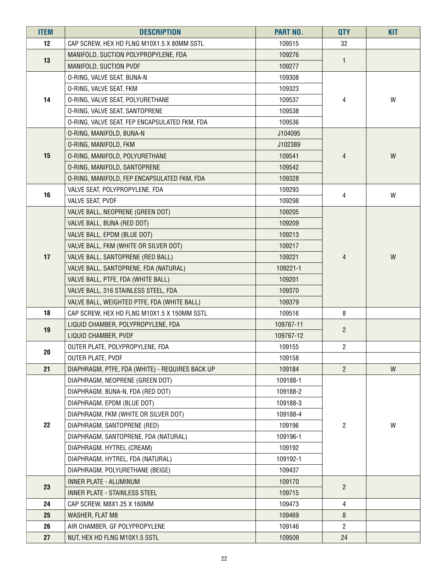| <b>ITEM</b> | <b>DESCRIPTION</b>                              | <b>PART NO.</b> | <b>QTY</b>     | <b>KIT</b> |
|-------------|-------------------------------------------------|-----------------|----------------|------------|
| 12          | CAP SCREW, HEX HD FLNG M10X1.5 X 80MM SSTL      | 109515          | 32             |            |
|             | MANIFOLD, SUCTION POLYPROPYLENE, FDA            | 109276          |                |            |
| 13          | MANIFOLD, SUCTION PVDF                          | 109277          | $\mathbf{1}$   |            |
|             | O-RING, VALVE SEAT, BUNA-N                      | 109308          |                |            |
|             | O-RING, VALVE SEAT, FKM                         | 109323          |                |            |
| 14          | O-RING, VALVE SEAT, POLYURETHANE                | 109537          | 4              | W          |
|             | O-RING, VALVE SEAT, SANTOPRENE                  | 109538          |                |            |
|             | O-RING, VALVE SEAT, FEP ENCAPSULATED FKM, FDA   | 109536          |                |            |
|             | O-RING, MANIFOLD, BUNA-N                        | J104095         |                |            |
|             | O-RING, MANIFOLD, FKM                           | J102389         |                |            |
| 15          | O-RING, MANIFOLD, POLYURETHANE                  | 109541          | 4              | W          |
|             | O-RING, MANIFOLD, SANTOPRENE                    | 109542          |                |            |
|             | O-RING, MANIFOLD, FEP ENCAPSULATED FKM, FDA     | 109328          |                |            |
| 16          | VALVE SEAT, POLYPROPYLENE, FDA                  | 109293          | 4              | W          |
|             | <b>VALVE SEAT, PVDF</b>                         | 109298          |                |            |
|             | VALVE BALL, NEOPRENE (GREEN DOT)                | 109205          |                |            |
|             | VALVE BALL, BUNA (RED DOT)                      | 109209          |                |            |
|             | VALVE BALL, EPDM (BLUE DOT)                     | 109213          |                |            |
|             | VALVE BALL, FKM (WHITE OR SILVER DOT)           | 109217          |                |            |
| 17          | VALVE BALL, SANTOPRENE (RED BALL)               | 109221          | 4              | W          |
|             | VALVE BALL, SANTOPRENE, FDA (NATURAL)           | 109221-1        |                |            |
|             | VALVE BALL, PTFE, FDA (WHITE BALL)              | 109201          |                |            |
|             | VALVE BALL, 316 STAINLESS STEEL, FDA            | 109370          |                |            |
|             | VALVE BALL, WEIGHTED PTFE, FDA (WHITE BALL)     | 109379          |                |            |
| 18          | CAP SCREW, HEX HD FLNG M10X1.5 X 150MM SSTL     | 109516          | 8              |            |
| 19          | LIQUID CHAMBER, POLYPROPYLENE, FDA              | 109767-11       | $\overline{c}$ |            |
|             | LIQUID CHAMBER, PVDF                            | 109767-12       |                |            |
| $20\,$      | OUTER PLATE, POLYPROPYLENE, FDA                 | 109155          | $\overline{2}$ |            |
|             | OUTER PLATE, PVDF                               | 109158          |                |            |
| 21          | DIAPHRAGM, PTFE, FDA (WHITE) - REQUIRES BACK UP | 109184          | $\overline{2}$ | W          |
|             | DIAPHRAGM, NEOPRENE (GREEN DOT)                 | 109188-1        |                |            |
|             | DIAPHRAGM, BUNA-N, FDA (RED DOT)                | 109188-2        |                |            |
|             | DIAPHRAGM, EPDM (BLUE DOT)                      | 109188-3        |                |            |
|             | DIAPHRAGM, FKM (WHITE OR SILVER DOT)            | 109188-4        |                |            |
| 22          | DIAPHRAGM, SANTOPRENE (RED)                     | 109196          | $\overline{c}$ | W          |
|             | DIAPHRAGM, SANTOPRENE, FDA (NATURAL)            | 109196-1        |                |            |
|             | DIAPHRAGM, HYTREL (CREAM)                       | 109192          |                |            |
|             | DIAPHRAGM, HYTREL, FDA (NATURAL)                | 109192-1        |                |            |
|             | DIAPHRAGM, POLYURETHANE (BEIGE)                 | 109437          |                |            |
| 23          | INNER PLATE - ALUMINUM                          | 109170          | $\overline{2}$ |            |
|             | INNER PLATE - STAINLESS STEEL                   | 109715          |                |            |
| 24          | CAP SCREW, M8X1.25 X 160MM                      | 109473          | 4              |            |
| 25          | WASHER, FLAT M8                                 | 109469          | 8              |            |
| 26          | AIR CHAMBER, GF POLYPROPYLENE                   | 109146          | $\overline{2}$ |            |
| 27          | NUT, HEX HD FLNG M10X1.5 SSTL                   | 109509          | 24             |            |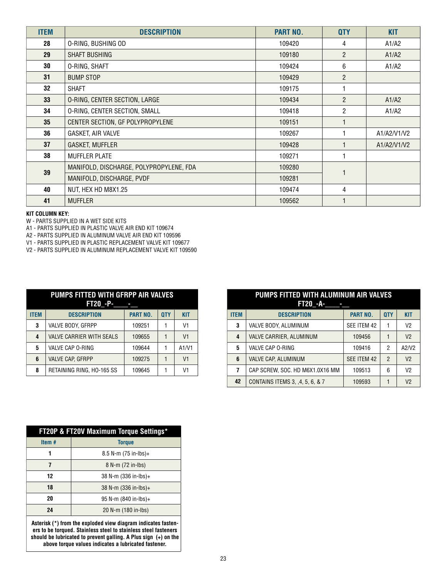| <b>ITEM</b> | <b>DESCRIPTION</b>                      | <b>PART NO.</b> | <b>QTY</b>     | <b>KIT</b>  |
|-------------|-----------------------------------------|-----------------|----------------|-------------|
| 28          | O-RING, BUSHING OD                      | 109420          | 4              | A1/A2       |
| 29          | <b>SHAFT BUSHING</b>                    | 109180          | $\overline{2}$ | A1/A2       |
| 30          | O-RING, SHAFT                           | 109424          | 6              | A1/A2       |
| 31          | <b>BUMP STOP</b>                        | 109429          | $\overline{2}$ |             |
| 32          | <b>SHAFT</b>                            | 109175          |                |             |
| 33          | O-RING, CENTER SECTION, LARGE           | 109434          | $\mathfrak{p}$ | A1/A2       |
| 34          | O-RING, CENTER SECTION, SMALL           | 109418          | $\mathfrak{p}$ | A1/A2       |
| 35          | CENTER SECTION, GF POLYPROPYLENE        | 109151          |                |             |
| 36          | GASKET, AIR VALVE                       | 109267          |                | A1/A2/V1/V2 |
| 37          | <b>GASKET, MUFFLER</b>                  | 109428          |                | A1/A2/V1/V2 |
| 38          | <b>MUFFLER PLATE</b>                    | 109271          |                |             |
| 39          | MANIFOLD, DISCHARGE, POLYPROPYLENE, FDA | 109280          | ۴              |             |
|             | MANIFOLD, DISCHARGE, PVDF               | 109281          |                |             |
| 40          | NUT, HEX HD M8X1.25                     | 109474          | 4              |             |
| 41          | <b>MUFFLER</b>                          | 109562          |                |             |

#### **KIT COLUMN KEY:**

W - PARTS SUPPLIED IN A WET SIDE KITS

A1 - PARTS SUPPLIED IN PLASTIC VALVE AIR END KIT 109674

A2 - PARTS SUPPLIED IN ALUMINUM VALVE AIR END KIT 109596

V1 - PARTS SUPPLIED IN PLASTIC REPLACEMENT VALVE KIT 109677

V2 - PARTS SUPPLIED IN ALUMINUM REPLACEMENT VALVE KIT 109590

| PUMPS FITTED WITH GFRPP AIR VALVES<br>FT20 - P- |                                 |                 |            |                |
|-------------------------------------------------|---------------------------------|-----------------|------------|----------------|
| <b>ITEM</b>                                     | <b>DESCRIPTION</b>              | <b>PART NO.</b> | <b>QTY</b> | <b>KIT</b>     |
| 3                                               | VALVE BODY, GFRPP               | 109251          |            | V <sub>1</sub> |
| 4                                               | <b>VALVE CARRIER WITH SEALS</b> | 109655          |            | V <sub>1</sub> |
| 5                                               | VALVE CAP O-RING                | 109644          |            | A1/N1          |
| 6                                               | <b>VALVE CAP. GFRPP</b>         | 109275          |            | V <sub>1</sub> |
| 8                                               | RETAINING RING, HO-165 SS       | 109645          |            | V1             |

| PUMPS FITTED WITH ALUMINUM AIR VALVES<br><b>FT20_-A-</b> |                                 |                 |               |                |
|----------------------------------------------------------|---------------------------------|-----------------|---------------|----------------|
| <b>ITEM</b>                                              | <b>DESCRIPTION</b>              | <b>PART NO.</b> | <b>QTY</b>    | <b>KIT</b>     |
| 3                                                        | VALVE BODY, ALUMINUM            | SEE ITEM 42     |               | V <sub>2</sub> |
| 4                                                        | <b>VALVE CARRIER, ALUMINUM</b>  | 109456          | 1             | V <sub>2</sub> |
| 5                                                        | VALVE CAP O-RING                | 109416          | 2             | A2/N2          |
| 6                                                        | <b>VALVE CAP, ALUMINUM</b>      | SEE ITEM 42     | $\mathcal{P}$ | V <sub>2</sub> |
| 7                                                        | CAP SCREW, SOC. HD M6X1.0X16 MM | 109513          | 6             | V <sub>2</sub> |
| 42                                                       | CONTAINS ITEMS 3, .4, 5, 6, & 7 | 109593          |               | V <sub>2</sub> |

| FT20P & FT20V Maximum Torque Settings* |                          |  |
|----------------------------------------|--------------------------|--|
| Item#                                  | <b>Torque</b>            |  |
|                                        | $8.5$ N-m (75 in-lbs)+   |  |
| 7                                      | 8 N-m (72 in-lbs)        |  |
| 12                                     | 38 N-m (336 in-lbs)+     |  |
| 18                                     | $38$ N-m $(336$ in-lbs)+ |  |
| 20                                     | 95 N-m (840 in-lbs)+     |  |
| 24                                     | 20 N-m (180 in-lbs)      |  |

**Asterisk (\*) from the exploded view diagram indicates fasteners to be torqued. Stainless steel to stainless steel fasteners should be lubricated to prevent galling. A Plus sign (+) on the above torque values indicates a lubricated fastener.**